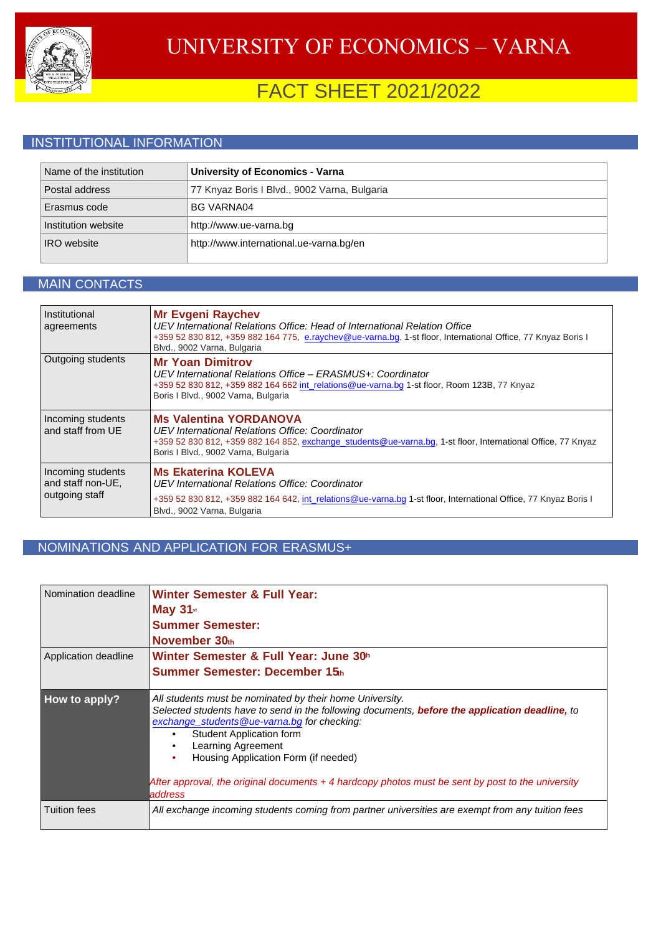

# FACT SHEET 2021/2022

### INSTITUTIONAL INFORMATION

| Name of the institution | <b>University of Economics - Varna</b>       |
|-------------------------|----------------------------------------------|
| Postal address          | 77 Knyaz Boris I Blvd., 9002 Varna, Bulgaria |
| Erasmus code            | <b>BG VARNA04</b>                            |
| Institution website     | http://www.ue-varna.bg                       |
| <b>IRO</b> website      | http://www.international.ue-varna.bg/en      |

#### MAIN CONTACTS

| Institutional<br>agreements                              | <b>Mr Evgeni Raychev</b><br>UEV International Relations Office: Head of International Relation Office<br>+359 52 830 812, +359 882 164 775, e.raychev@ue-varna.bg, 1-st floor, International Office, 77 Knyaz Boris I<br>Blvd., 9002 Varna, Bulgaria |
|----------------------------------------------------------|------------------------------------------------------------------------------------------------------------------------------------------------------------------------------------------------------------------------------------------------------|
| Outgoing students                                        | <b>Mr Yoan Dimitrov</b><br>UEV International Relations Office – ERASMUS+: Coordinator<br>+359 52 830 812, +359 882 164 662 int relations@ue-varna.bg 1-st floor, Room 123B, 77 Knyaz<br>Boris I Blvd., 9002 Varna, Bulgaria                          |
| Incoming students<br>and staff from UE                   | <b>Ms Valentina YORDANOVA</b><br>UEV International Relations Office: Coordinator<br>+359 52 830 812, +359 882 164 852, exchange students@ue-varna.bg, 1-st floor, International Office, 77 Knyaz<br>Boris I Blvd., 9002 Varna, Bulgaria              |
| Incoming students<br>and staff non-UE,<br>outgoing staff | <b>Ms Ekaterina KOLEVA</b><br>UEV International Relations Office: Coordinator<br>+359 52 830 812, +359 882 164 642, int relations@ue-varna.bg 1-st floor, International Office, 77 Knyaz Boris I<br>Blvd., 9002 Varna, Bulgaria                      |

### NOMINATIONS AND APPLICATION FOR ERASMUS+

| Nomination deadline  | <b>Winter Semester &amp; Full Year:</b><br><b>May 31st</b><br><b>Summer Semester:</b><br>November 30th                                                                                                                                                                                                                                                                                                                                              |
|----------------------|-----------------------------------------------------------------------------------------------------------------------------------------------------------------------------------------------------------------------------------------------------------------------------------------------------------------------------------------------------------------------------------------------------------------------------------------------------|
| Application deadline | Winter Semester & Full Year: June 30h<br>Summer Semester: December 15th                                                                                                                                                                                                                                                                                                                                                                             |
| <b>How to apply?</b> | All students must be nominated by their home University.<br>Selected students have to send in the following documents, before the application deadline, to<br>exchange_students@ue-varna.bg for checking:<br><b>Student Application form</b><br>٠<br>Learning Agreement<br>٠<br>Housing Application Form (if needed)<br>$\bullet$<br>After approval, the original documents $+$ 4 hardcopy photos must be sent by post to the university<br>address |
| Tuition fees         | All exchange incoming students coming from partner universities are exempt from any tuition fees                                                                                                                                                                                                                                                                                                                                                    |